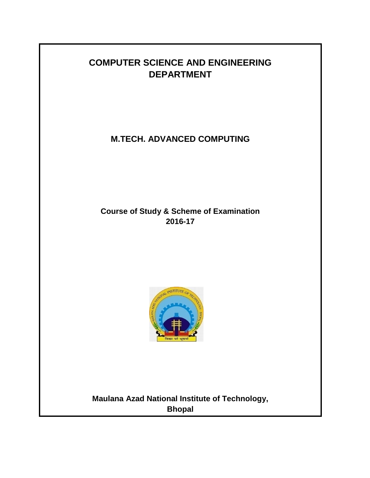# **COMPUTER SCIENCE AND ENGINEERING DEPARTMENT**

**M.TECH. ADVANCED COMPUTING**

**Course of Study & Scheme of Examination 2016-17**



**Maulana Azad National Institute of Technology, Bhopal**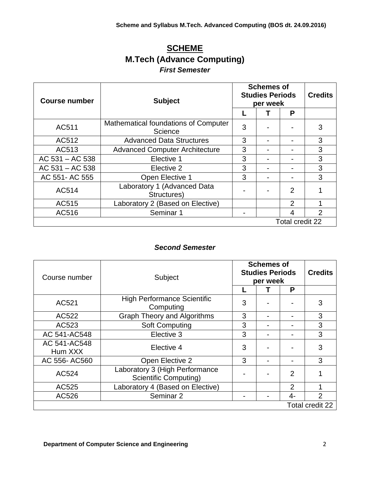# **SCHEME M.Tech (Advance Computing)** *First Semester*

| Course number   | <b>Subject</b>                                  | <b>Schemes of</b><br><b>Studies Periods</b><br>per week | <b>Credits</b>  |                |
|-----------------|-------------------------------------------------|---------------------------------------------------------|-----------------|----------------|
|                 |                                                 |                                                         | P               |                |
| AC511           | Mathematical foundations of Computer<br>Science | 3                                                       |                 | 3              |
| AC512           | <b>Advanced Data Structures</b>                 | 3                                                       |                 | 3              |
| AC513           | <b>Advanced Computer Architecture</b>           | 3                                                       |                 | 3              |
| AC 531 - AC 538 | Elective 1                                      | 3                                                       |                 | 3              |
| AC 531 - AC 538 | Elective 2                                      | 3                                                       |                 | 3              |
| AC 551-AC 555   | Open Elective 1                                 | 3                                                       |                 | 3              |
| AC514           | Laboratory 1 (Advanced Data<br>Structures)      |                                                         | 2               |                |
| AC515           | Laboratory 2 (Based on Elective)                |                                                         | 2               |                |
| AC516           | Seminar 1                                       |                                                         | 4               | $\mathfrak{p}$ |
|                 |                                                 |                                                         | Total credit 22 |                |

# *Second Semester*

| Course number           | Subject                                                        |        | <b>Schemes of</b><br><b>Studies Periods</b><br>per week |                |                 |  |
|-------------------------|----------------------------------------------------------------|--------|---------------------------------------------------------|----------------|-----------------|--|
|                         |                                                                | P<br>3 |                                                         |                |                 |  |
| AC521                   | <b>High Performance Scientific</b><br>Computing                |        |                                                         |                | 3               |  |
| AC522                   | <b>Graph Theory and Algorithms</b>                             | 3      |                                                         |                | 3               |  |
| AC523                   | <b>Soft Computing</b>                                          | 3      |                                                         |                | 3               |  |
| AC 541-AC548            | Elective 3                                                     | 3      |                                                         |                | 3               |  |
| AC 541-AC548<br>Hum XXX | Elective 4                                                     | 3      |                                                         |                | 3               |  |
| AC 556-AC560            | Open Elective 2                                                | 3      |                                                         |                | 3               |  |
| AC524                   | Laboratory 3 (High Performance<br><b>Scientific Computing)</b> |        |                                                         | $\overline{2}$ |                 |  |
| AC525                   | Laboratory 4 (Based on Elective)                               |        |                                                         | 2              |                 |  |
| AC526                   | Seminar 2                                                      |        |                                                         | 4-             | $\overline{2}$  |  |
|                         |                                                                |        |                                                         |                | Total credit 22 |  |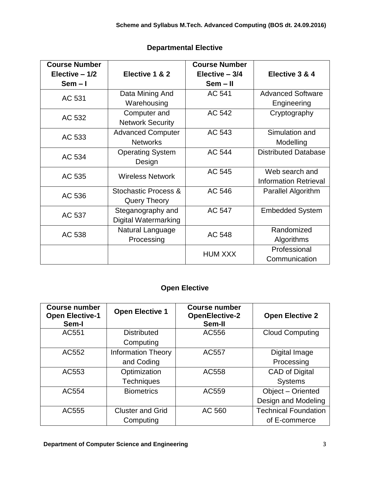| <b>Course Number</b> |                          | <b>Course Number</b> |                              |
|----------------------|--------------------------|----------------------|------------------------------|
| Elective $-1/2$      | Elective 1 & 2           | Elective - 3/4       | Elective 3 & 4               |
| $Sem - I$            |                          | Sem - II             |                              |
| AC 531               | Data Mining And          | AC 541               | <b>Advanced Software</b>     |
|                      | Warehousing              |                      | Engineering                  |
| AC 532               | Computer and             | AC 542               | Cryptography                 |
|                      | <b>Network Security</b>  |                      |                              |
| AC 533               | <b>Advanced Computer</b> | AC 543               | Simulation and               |
|                      | <b>Networks</b>          |                      | Modelling                    |
| AC 534               | <b>Operating System</b>  | AC 544               | <b>Distributed Database</b>  |
|                      | Design                   |                      |                              |
| AC 535               | <b>Wireless Network</b>  | AC 545               | Web search and               |
|                      |                          |                      | <b>Information Retrieval</b> |
| AC 536               | Stochastic Process &     | AC 546               | Parallel Algorithm           |
|                      | Query Theory             |                      |                              |
| AC 537               | Steganography and        | AC 547               | <b>Embedded System</b>       |
|                      | Digital Watermarking     |                      |                              |
| AC 538               | Natural Language         | AC 548               | Randomized                   |
|                      | Processing               |                      | Algorithms                   |
|                      |                          | <b>HUM XXX</b>       | Professional                 |
|                      |                          |                      | Communication                |

# **Departmental Elective**

# **Open Elective**

| <b>Course number</b><br><b>Open Elective-1</b><br>Sem-I | <b>Open Elective 1</b>    | <b>Course number</b><br><b>OpenElective-2</b><br>Sem-II | <b>Open Elective 2</b>      |
|---------------------------------------------------------|---------------------------|---------------------------------------------------------|-----------------------------|
| AC551                                                   | <b>Distributed</b>        | AC556                                                   | <b>Cloud Computing</b>      |
|                                                         | Computing                 |                                                         |                             |
| AC552                                                   | <b>Information Theory</b> | AC557                                                   | Digital Image               |
|                                                         | and Coding                |                                                         | Processing                  |
| AC553                                                   | Optimization              | AC558                                                   | <b>CAD of Digital</b>       |
|                                                         | <b>Techniques</b>         |                                                         | <b>Systems</b>              |
| AC554                                                   | <b>Biometrics</b>         | AC559                                                   | Object - Oriented           |
|                                                         |                           |                                                         | Design and Modeling         |
| AC555                                                   | <b>Cluster and Grid</b>   | AC 560                                                  | <b>Technical Foundation</b> |
|                                                         | Computing                 |                                                         | of E-commerce               |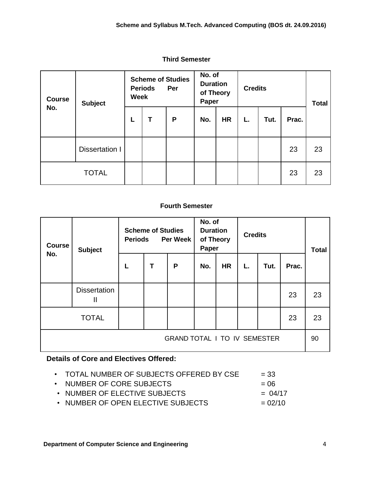| <b>Course</b><br>No. | <b>Subject</b>        | <b>Scheme of Studies</b><br><b>Periods</b><br>Per<br><b>Week</b> |   | No. of<br><b>Duration</b><br>of Theory<br>Paper |     | <b>Credits</b> |    |      | <b>Total</b> |    |
|----------------------|-----------------------|------------------------------------------------------------------|---|-------------------------------------------------|-----|----------------|----|------|--------------|----|
|                      |                       | L                                                                | Τ | P                                               | No. | <b>HR</b>      | L. | Tut. | Prac.        |    |
|                      | <b>Dissertation I</b> |                                                                  |   |                                                 |     |                |    |      | 23           | 23 |
|                      | <b>TOTAL</b>          |                                                                  |   |                                                 |     |                |    |      | 23           | 23 |

#### **Third Semester**

#### **Fourth Semester**

| <b>Course</b><br>No.                | <b>Subject</b>           | <b>Periods</b> | <b>Scheme of Studies</b> | <b>Per Week</b> | No. of<br><b>Duration</b><br>of Theory<br>Paper |           | <b>Credits</b> |      |       | <b>Total</b> |
|-------------------------------------|--------------------------|----------------|--------------------------|-----------------|-------------------------------------------------|-----------|----------------|------|-------|--------------|
|                                     |                          | L              | T                        | P               | No.                                             | <b>HR</b> | L.             | Tut. | Prac. |              |
|                                     | <b>Dissertation</b><br>Ш |                |                          |                 |                                                 |           |                |      | 23    | 23           |
|                                     | <b>TOTAL</b>             |                |                          |                 |                                                 |           |                |      | 23    | 23           |
| <b>GRAND TOTAL I TO IV SEMESTER</b> |                          |                |                          |                 |                                                 |           |                | 90   |       |              |

### **Details of Core and Electives Offered:**

| TOTAL NUMBER OF SUBJECTS OFFERED BY CSE | $= 33$ |  |
|-----------------------------------------|--------|--|
|                                         |        |  |

- NUMBER OF CORE SUBJECTS  $= 06$
- NUMBER OF ELECTIVE SUBJECTS  $= 04/17$
- NUMBER OF OPEN ELECTIVE SUBJECTS  $= 02/10$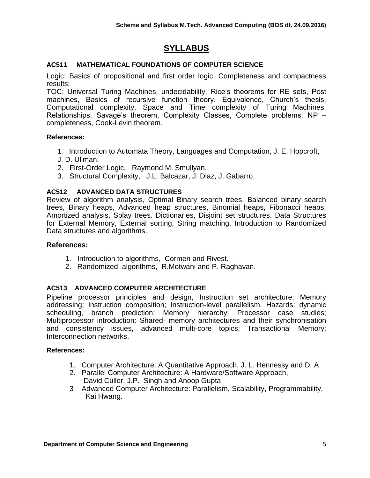# **SYLLABUS**

#### **AC511 MATHEMATICAL FOUNDATIONS OF COMPUTER SCIENCE**

Logic: Basics of propositional and first order logic, Completeness and compactness results;

TOC: Universal Turing Machines, undecidability, Rice's theorems for RE sets, Post machines, Basics of recursive function theory. Equivalence, Church's thesis, Computational complexity, Space and Time complexity of Turing Machines, Relationships, Savage's theorem, Complexity Classes, Complete problems, NP – completeness, Cook-Levin theorem.

#### **References:**

- 1. Introduction to Automata Theory, Languages and Computation, J. E. Hopcroft,
- J. D. Ullman.
- 2. First-Order Logic, Raymond M. Smullyan,
- 3. Structural Complexity, J.L. Balcazar, J. Diaz, J. Gabarro,

#### **AC512 ADVANCED DATA STRUCTURES**

Review of algorithm analysis, Optimal Binary search trees, Balanced binary search trees, Binary heaps, Advanced heap structures, Binomial heaps, Fibonacci heaps, Amortized analysis, Splay trees. Dictionaries, Disjoint set structures. Data Structures for External Memory, External sorting, String matching. Introduction to Randomized Data structures and algorithms.

#### **References:**

- 1. Introduction to algorithms, Cormen and Rivest.
- 2. Randomized algorithms, R.Motwani and P. Raghavan.

#### **AC513 ADVANCED COMPUTER ARCHITECTURE**

Pipeline processor principles and design, Instruction set architecture; Memory addressing; Instruction composition; Instruction-level parallelism. Hazards: dynamic scheduling, branch prediction; Memory hierarchy; Processor case studies; Multiprocessor introduction: Shared- memory architectures and their synchronisation and consistency issues, advanced multi-core topics; Transactional Memory; Interconnection networks.

- 1. Computer Architecture: A Quantitative Approach, J. L. Hennessy and D. A
- 2. Parallel Computer Architecture: A Hardware/Software Approach, David Culler, J.P. Singh and Anoop Gupta
- 3 Advanced Computer Architecture: Parallelism, Scalability, Programmability, Kai Hwang.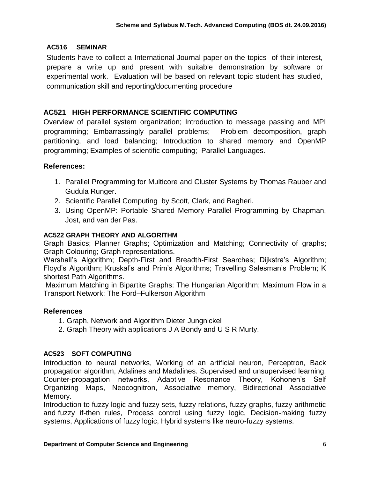### **AC516 SEMINAR**

Students have to collect a International Journal paper on the topics of their interest, prepare a write up and present with suitable demonstration by software or experimental work. Evaluation will be based on relevant topic student has studied, communication skill and reporting/documenting procedure

### **AC521 HIGH PERFORMANCE SCIENTIFIC COMPUTING**

Overview of parallel system organization; Introduction to message passing and MPI programming; Embarrassingly parallel problems; Problem decomposition, graph partitioning, and load balancing; Introduction to shared memory and OpenMP programming; Examples of scientific computing; Parallel Languages.

### **References:**

- 1. Parallel Programming for Multicore and Cluster Systems by Thomas Rauber and Gudula Runger.
- 2. Scientific Parallel Computing by Scott, Clark, and Bagheri.
- 3. Using OpenMP: Portable Shared Memory Parallel Programming by Chapman, Jost, and van der Pas.

### **AC522 GRAPH THEORY AND ALGORITHM**

Graph Basics; Planner Graphs; Optimization and Matching; Connectivity of graphs; Graph Colouring; Graph representations.

Warshall's Algorithm; Depth-First and Breadth-First Searches; Dijkstra's Algorithm; Floyd's Algorithm; Kruskal's and Prim's Algorithms; Travelling Salesman's Problem; K shortest Path Algorithms.

Maximum Matching in Bipartite Graphs: The Hungarian Algorithm; Maximum Flow in a Transport Network: The Ford–Fulkerson Algorithm

#### **References**

- 1. Graph, Network and Algorithm Dieter Jungnickel
- 2. Graph Theory with applications J A Bondy and U S R Murty.

### **AC523 SOFT COMPUTING**

Introduction to neural networks, Working of an artificial neuron, Perceptron, Back propagation algorithm, Adalines and Madalines. Supervised and unsupervised learning, Counter-propagation networks, Adaptive Resonance Theory, Kohonen's Self Organizing Maps, Neocognitron, Associative memory, Bidirectional Associative Memory.

Introduction to fuzzy logic and fuzzy sets, fuzzy relations, fuzzy graphs, fuzzy arithmetic and fuzzy if-then rules, Process control using fuzzy logic, Decision-making fuzzy systems, Applications of fuzzy logic, Hybrid systems like neuro-fuzzy systems.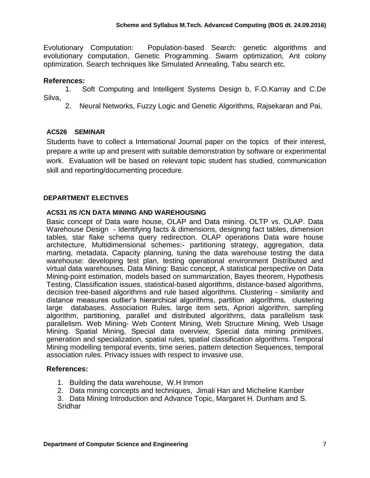Evolutionary Computation: Population-based Search: genetic algorithms and evolutionary computation, Genetic Programming. Swarm optimization, Ant colony optimization. Search techniques like Simulated Annealing, Tabu search etc.

#### **References:**

1. Soft Computing and Intelligent Systems Design b, F.O.Karray and C.De Silva,

2. Neural Networks, Fuzzy Logic and Genetic Algorithms, Rajsekaran and Pai,

### **AC526 SEMINAR**

Students have to collect a International Journal paper on the topics of their interest, prepare a write up and present with suitable demonstration by software or experimental work. Evaluation will be based on relevant topic student has studied, communication skill and reporting/documenting procedure.

### **DEPARTMENT ELECTIVES**

#### **AC531 /IS /CN DATA MINING AND WAREHOUSING**

Basic concept of Data ware house, OLAP and Data mining. OLTP vs. OLAP. Data Warehouse Design - Identifying facts & dimensions, designing fact tables, dimension tables, star flake schema query redirection. OLAP operations Data ware house architecture, Multidimensional schemes:- partitioning strategy, aggregation, data marting, metadata. Capacity planning, tuning the data warehouse testing the data warehouse: developing test plan, testing operational environment Distributed and virtual data warehouses. Data Mining: Basic concept, A statistical perspective on Data Mining-point estimation, models based on summarization, Bayes theorem, Hypothesis Testing, Classification issues, statistical-based algorithms, distance-based algorithms, decision tree-based algorithms and rule based algorithms. Clustering - similarity and distance measures outlier's hierarchical algorithms, partition algorithms, clustering large databases. Association Rules, large item sets, Apriori algorithm, sampling algorithm, partitioning, parallel and distributed algorithms, data parallelism task parallelism. Web Mining- Web Content Mining, Web Structure Mining, Web Usage Mining. Spatial Mining, Special data overview, Special data mining primitives, generation and specialization, spatial rules, spatial classification algorithms. Temporal Mining modelling temporal events, time series, pattern detection Sequences, temporal association rules. Privacy issues with respect to invasive use.

#### **References:**

- 1. Building the data warehouse, W.H Inmon
- 2. Data mining concepts and techniques, Jimali Han and Micheline Kamber

3. Data Mining Introduction and Advance Topic, Margaret H. Dunham and S. Sridhar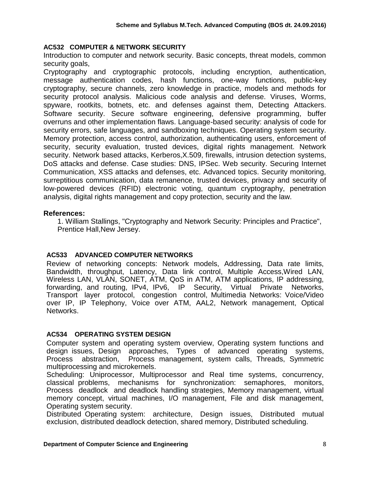#### **AC532 COMPUTER & NETWORK SECURITY**

Introduction to computer and network security. Basic concepts, threat models, common security goals.

Cryptography and cryptographic protocols, including encryption, authentication, message authentication codes, hash functions, one-way functions, public-key cryptography, secure channels, zero knowledge in practice, models and methods for security protocol analysis. Malicious code analysis and defense. Viruses, Worms, spyware, rootkits, botnets, etc. and defenses against them, Detecting Attackers. Software security. Secure software engineering, defensive programming, buffer overruns and other implementation flaws. Language-based security: analysis of code for security errors, safe languages, and sandboxing techniques. Operating system security. Memory protection, access control, authorization, authenticating users, enforcement of security, security evaluation, trusted devices, digital rights management. Network security. Network based attacks, Kerberos,X.509, firewalls, intrusion detection systems, DoS attacks and defense. Case studies: DNS, IPSec. Web security. Securing Internet Communication, XSS attacks and defenses, etc. Advanced topics. Security monitoring, surreptitious communication, data remanence, trusted devices, privacy and security of low-powered devices (RFID) electronic voting, quantum cryptography, penetration analysis, digital rights management and copy protection, security and the law.

### **References:**

1. William Stallings, "Cryptography and Network Security: Principles and Practice", Prentice Hall,New Jersey.

### **AC533 ADVANCED COMPUTER NETWORKS**

Review of networking concepts: Network models, Addressing, Data rate limits, Bandwidth, throughput, Latency, Data link control, Multiple Access,Wired LAN, Wireless LAN, VLAN, SONET, ATM, QoS in ATM, ATM applications, IP addressing, forwarding, and routing, IPv4, IPv6, IP Security, Virtual Private Networks, Transport layer protocol, congestion control, Multimedia Networks: Voice/Video over IP, IP Telephony, Voice over ATM, AAL2, Network management, Optical Networks.

### **AC534 OPERATING SYSTEM DESIGN**

Computer system and operating system overview, Operating system functions and design issues, Design approaches, Types of advanced operating systems, Process abstraction, Process management, system calls, Threads, Symmetric multiprocessing and microkernels.

Scheduling: Uniprocessor, Multiprocessor and Real time systems, concurrency, classical problems, mechanisms for synchronization: semaphores, monitors, Process deadlock and deadlock handling strategies, Memory management, virtual memory concept, virtual machines, I/O management, File and disk management, Operating system security.

Distributed Operating system: architecture, Design issues, Distributed mutual exclusion, distributed deadlock detection, shared memory, Distributed scheduling.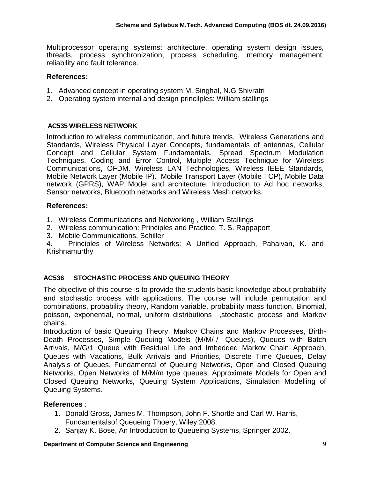Multiprocessor operating systems: architecture, operating system design issues, threads, process synchronization, process scheduling, memory management, reliability and fault tolerance.

### **References:**

- 1. Advanced concept in operating system:M. Singhal, N.G Shivratri
- 2. Operating system internal and design princilples: William stallings

#### **AC535 WIRELESS NETWORK**

Introduction to wireless communication, and future trends, Wireless Generations and Standards, Wireless Physical Layer Concepts, fundamentals of antennas, Cellular Concept and Cellular System Fundamentals. Spread Spectrum Modulation Techniques, Coding and Error Control, Multiple Access Technique for Wireless Communications, OFDM. Wireless LAN Technologies, Wireless IEEE Standards, Mobile Network Layer (Mobile IP). Mobile Transport Layer (Mobile TCP), Mobile Data network (GPRS), WAP Model and architecture, Introduction to Ad hoc networks, Sensor networks, Bluetooth networks and Wireless Mesh networks.

### **References:**

1. Wireless Communications and Networking , William Stallings

- 2. Wireless communication: Principles and Practice, T. S. Rappaport
- 3. Mobile Communications, Schiller

4. Principles of Wireless Networks: A Unified Approach, Pahalvan, K. and Krishnamurthy

### **AC536 STOCHASTIC PROCESS AND QUEUING THEORY**

The objective of this course is to provide the students basic knowledge about probability and stochastic process with applications. The course will include permutation and combinations, probability theory, Random variable, [probability mass function,](http://en.wikipedia.org/wiki/Probability_distribution#Terminology) Binomial, poisson, exponential, normal, uniform distributions ,stochastic process and Markov chains.

Introduction of basic Queuing Theory, Markov Chains and Markov Processes, Birth-Death Processes, Simple Queuing Models (M/M/-/- Queues), Queues with Batch Arrivals, M/G/1 Queue with Residual Life and Imbedded Markov Chain Approach, Queues with Vacations, Bulk Arrivals and Priorities, Discrete Time Queues, Delay Analysis of Queues. Fundamental of Queuing Networks, Open and Closed Queuing Networks, Open Networks of M/M/m type queues. Approximate Models for Open and Closed Queuing Networks, Queuing System Applications, Simulation Modelling of Queuing Systems.

- 1. Donald Gross, James M. Thompson, John F. Shortle and Carl W. Harris, Fundamentalsof Queueing Thoery, Wiley 2008.
- 2. Sanjay K. Bose, An Introduction to Queueing Systems, Springer 2002.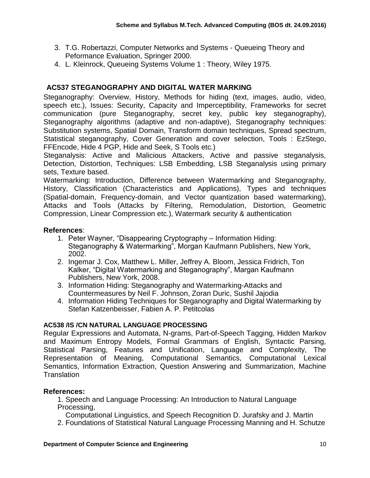- 3. T.G. Robertazzi, Computer Networks and Systems Queueing Theory and Peformance Evaluation, Springer 2000.
- 4. L. Kleinrock, Queueing Systems Volume 1 : Theory, Wiley 1975.

## **AC537 STEGANOGRAPHY AND DIGITAL WATER MARKING**

Steganography: Overview, History, Methods for hiding (text, images, audio, video, speech etc.), Issues: Security, Capacity and Imperceptibility, Frameworks for secret communication (pure Steganography, secret key, public key steganography), Steganography algorithms (adaptive and non-adaptive), Steganography techniques: Substitution systems, Spatial Domain, Transform domain techniques, Spread spectrum, Statistical steganography, Cover Generation and cover selection, Tools : EzStego, FFEncode, Hide 4 PGP, Hide and Seek, S Tools etc.)

Steganalysis: Active and Malicious Attackers, Active and passive steganalysis, Detection, Distortion, Techniques: LSB Embedding, LSB Steganalysis using primary sets, Texture based.

Watermarking: Introduction, Difference between Watermarking and Steganography, History, Classification (Characteristics and Applications), Types and techniques (Spatial-domain, Frequency-domain, and Vector quantization based watermarking), Attacks and Tools (Attacks by Filtering, Remodulation, Distortion, Geometric Compression, Linear Compression etc.), Watermark security & authentication

### **References**:

- 1. Peter Wayner, "Disappearing Cryptography Information Hiding: Steganography & Watermarking", Morgan Kaufmann Publishers, New York, 2002.
- 2. Ingemar J. Cox, Matthew L. Miller, Jeffrey A. Bloom, Jessica Fridrich, Ton Kalker, "Digital Watermarking and Steganography", Margan Kaufmann Publishers, New York, 2008.
- 3. Information Hiding: Steganography and Watermarking-Attacks and Countermeasures by Neil F. Johnson, Zoran Duric, Sushil Jajodia
- 4. Information Hiding Techniques for Steganography and Digital Watermarking by Stefan Katzenbeisser, Fabien A. P. Petitcolas

### **AC538 /IS /CN NATURAL LANGUAGE PROCESSING**

Regular Expressions and Automata, N-grams, Part-of-Speech Tagging, Hidden Markov and Maximum Entropy Models, Formal Grammars of English, Syntactic Parsing, Statistical Parsing, Features and Unification, Language and Complexity, The Representation of Meaning, Computational Semantics, Computational Lexical Semantics, Information Extraction, Question Answering and Summarization, Machine **Translation** 

### **References:**

1. Speech and Language Processing: An Introduction to Natural Language Processing,

Computational Linguistics, and Speech Recognition D. Jurafsky and J. Martin

2. Foundations of Statistical Natural Language Processing Manning and H. Schutze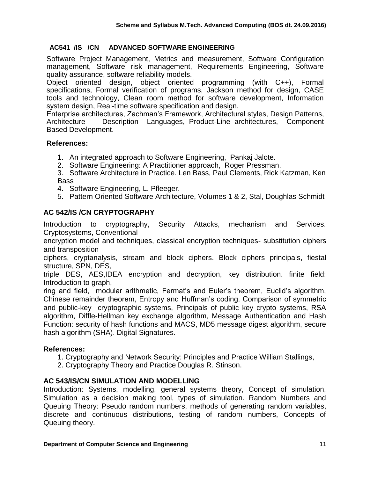### **AC541 /IS /CN ADVANCED SOFTWARE ENGINEERING**

Software Project Management, Metrics and measurement, Software Configuration management, Software risk management, Requirements Engineering, Software quality assurance, software reliability models.

Object oriented design, object oriented programming (with C++), Formal specifications, Formal verification of programs, Jackson method for design, CASE tools and technology, Clean room method for software development, Information system design, Real-time software specification and design.

Enterprise architectures, Zachman's Framework, Architectural styles, Design Patterns, Architecture Description Languages, Product-Line architectures, Component Based Development.

#### **References:**

- 1. An integrated approach to Software Engineering, Pankaj Jalote.
- 2. Software Engineering: A Practitioner approach, Roger Pressman.

3. Software Architecture in Practice. Len Bass, Paul Clements, Rick Katzman, Ken Bass

- 4. Software Engineering, L. Pfleeger.
- 5. Pattern Oriented Software Architecture, Volumes 1 & 2, Stal, Doughlas Schmidt

### **AC 542/IS /CN CRYPTOGRAPHY**

Introduction to cryptography, Security Attacks, mechanism and Services. Cryptosystems, Conventional

encryption model and techniques, classical encryption techniques- substitution ciphers and transposition

ciphers, cryptanalysis, stream and block ciphers. Block ciphers principals, fiestal structure, SPN, DES,

triple DES, AES,IDEA encryption and decryption, key distribution. finite field: Introduction to graph,

ring and field, modular arithmetic, Fermat's and Euler's theorem, Euclid's algorithm, Chinese remainder theorem, Entropy and Huffman's coding. Comparison of symmetric and public-key cryptographic systems, Principals of public key crypto systems, RSA algorithm, Diffle-Hellman key exchange algorithm, Message Authentication and Hash Function: security of hash functions and MACS, MD5 message digest algorithm, secure hash algorithm (SHA). Digital Signatures.

#### **References:**

- 1. Cryptography and Network Security: Principles and Practice William Stallings,
- 2. Cryptography Theory and Practice Douglas R. Stinson.

#### **AC 543/IS/CN SIMULATION AND MODELLING**

Introduction: Systems, modelling, general systems theory, Concept of simulation, Simulation as a decision making tool, types of simulation. Random Numbers and Queuing Theory: Pseudo random numbers, methods of generating random variables, discrete and continuous distributions, testing of random numbers, Concepts of Queuing theory.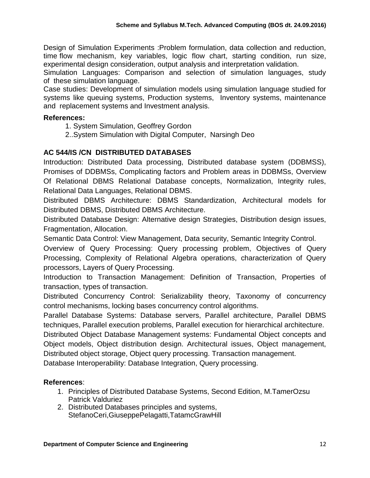Design of Simulation Experiments :Problem formulation, data collection and reduction, time flow mechanism, key variables, logic flow chart, starting condition, run size, experimental design consideration, output analysis and interpretation validation.

Simulation Languages: Comparison and selection of simulation languages, study of these simulation language.

Case studies: Development of simulation models using simulation language studied for systems like queuing systems, Production systems, Inventory systems, maintenance and replacement systems and Investment analysis.

### **References:**

- 1. System Simulation, Geoffrey Gordon
- 2..System Simulation with Digital Computer, Narsingh Deo

# **AC 544/IS /CN DISTRIBUTED DATABASES**

Introduction: Distributed Data processing, Distributed database system (DDBMSS), Promises of DDBMSs, Complicating factors and Problem areas in DDBMSs, Overview Of Relational DBMS Relational Database concepts, Normalization, Integrity rules, Relational Data Languages, Relational DBMS.

Distributed DBMS Architecture: DBMS Standardization, Architectural models for Distributed DBMS, Distributed DBMS Architecture.

Distributed Database Design: Alternative design Strategies, Distribution design issues, Fragmentation, Allocation.

Semantic Data Control: View Management, Data security, Semantic Integrity Control.

Overview of Query Processing: Query processing problem, Objectives of Query Processing, Complexity of Relational Algebra operations, characterization of Query processors, Layers of Query Processing.

Introduction to Transaction Management: Definition of Transaction, Properties of transaction, types of transaction.

Distributed Concurrency Control: Serializability theory, Taxonomy of concurrency control mechanisms, locking bases concurrency control algorithms.

Parallel Database Systems: Database servers, Parallel architecture, Parallel DBMS techniques, Parallel execution problems, Parallel execution for hierarchical architecture.

Distributed Object Database Management systems: Fundamental Object concepts and Object models, Object distribution design. Architectural issues, Object management, Distributed object storage, Object query processing. Transaction management.

Database Interoperability: Database Integration, Query processing.

- 1. Principles of Distributed Database Systems, Second Edition, M.TamerOzsu Patrick Valduriez
- 2. Distributed Databases principles and systems, StefanoCeri,GiuseppePelagatti,TatamcGrawHill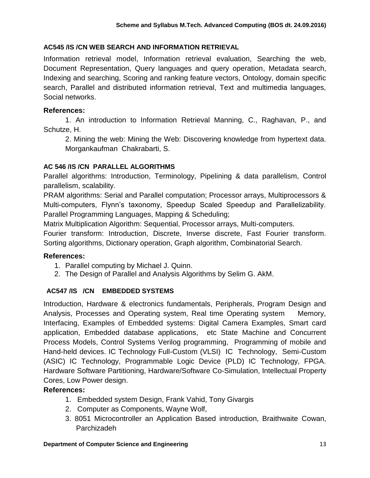### **AC545 /IS /CN WEB SEARCH AND INFORMATION RETRIEVAL**

Information retrieval model, Information retrieval evaluation, Searching the web, Document Representation, Query languages and query operation, Metadata search, Indexing and searching, Scoring and ranking feature vectors, Ontology, domain specific search, Parallel and distributed information retrieval, Text and multimedia languages, Social networks.

### **References:**

1. An introduction to Information Retrieval Manning, C., Raghavan, P., and Schutze, H.

2. Mining the web: Mining the Web: Discovering knowledge from hypertext data. Morgankaufman Chakrabarti, S.

### **AC 546 /IS /CN PARALLEL ALGORITHMS**

Parallel algorithms: Introduction, Terminology, Pipelining & data parallelism, Control parallelism, scalability.

PRAM algorithms: Serial and Parallel computation; Processor arrays, Multiprocessors & Multi-computers, Flynn's taxonomy, Speedup Scaled Speedup and Parallelizability. Parallel Programming Languages, Mapping & Scheduling;

Matrix Multiplication Algorithm: Sequential, Processor arrays, Multi-computers.

Fourier transform: Introduction, Discrete, Inverse discrete, Fast Fourier transform. Sorting algorithms, Dictionary operation, Graph algorithm, Combinatorial Search.

### **References:**

- 1. Parallel computing by Michael J. Quinn.
- 2. The Design of Parallel and Analysis Algorithms by Selim G. AkM.

### **AC547 /IS /CN EMBEDDED SYSTEMS**

Introduction, Hardware & electronics fundamentals, Peripherals, Program Design and Analysis, Processes and Operating system, Real time Operating system Memory, Interfacing, Examples of Embedded systems: Digital Camera Examples, Smart card application, Embedded database applications, etc State Machine and Concurrent Process Models, Control Systems Verilog programming, Programming of mobile and Hand-held devices. IC Technology Full-Custom (VLSI) IC Technology, Semi-Custom (ASIC) IC Technology, Programmable Logic Device (PLD) IC Technology, FPGA. Hardware Software Partitioning, Hardware/Software Co-Simulation, Intellectual Property Cores, Low Power design.

- 1. Embedded system Design, Frank Vahid, Tony Givargis
- 2. Computer as Components, Wayne Wolf,
- 3. 8051 Microcontroller an Application Based introduction, Braithwaite Cowan, Parchizadeh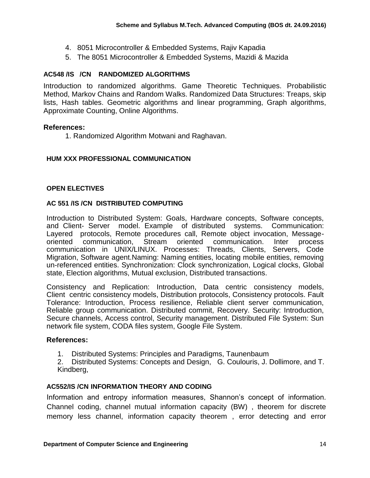- 4. 8051 Microcontroller & Embedded Systems, Rajiv Kapadia
- 5. The 8051 Microcontroller & Embedded Systems, Mazidi & Mazida

### **AC548 /IS /CN RANDOMIZED ALGORITHMS**

Introduction to randomized algorithms. Game Theoretic Techniques. Probabilistic Method, Markov Chains and Random Walks. Randomized Data Structures: Treaps, skip lists, Hash tables. Geometric algorithms and linear programming, Graph algorithms, Approximate Counting, Online Algorithms.

#### **References:**

1. Randomized Algorithm Motwani and Raghavan.

### **HUM XXX PROFESSIONAL COMMUNICATION**

#### **OPEN ELECTIVES**

#### **AC 551 /IS /CN DISTRIBUTED COMPUTING**

Introduction to Distributed System: Goals, Hardware concepts, Software concepts, and Client- Server model. Example of distributed systems. Communication: Layered protocols, Remote procedures call, Remote object invocation, Message-<br>oriented communication. Stream oriented communication. Inter process oriented communication, Stream oriented communication. Inter process communication in UNIX/LINUX. Processes: Threads, Clients, Servers, Code Migration, Software agent.Naming: Naming entities, locating mobile entities, removing un-referenced entities. Synchronization: Clock synchronization, Logical clocks, Global state, Election algorithms, Mutual exclusion, Distributed transactions.

Consistency and Replication: Introduction, Data centric consistency models, Client centric consistency models, Distribution protocols, Consistency protocols. Fault Tolerance: Introduction, Process resilience, Reliable client server communication, Reliable group communication. Distributed commit, Recovery. Security: Introduction, Secure channels, Access control, Security management. Distributed File System: Sun network file system, CODA files system, Google File System.

#### **References:**

1. Distributed Systems: Principles and Paradigms, Taunenbaum

2. Distributed Systems: Concepts and Design, G. Coulouris, J. Dollimore, and T. Kindberg,

#### **AC552/IS /CN INFORMATION THEORY AND CODING**

Information and entropy information measures, Shannon's concept of information. Channel coding, channel mutual information capacity (BW) , theorem for discrete memory less channel, information capacity theorem , error detecting and error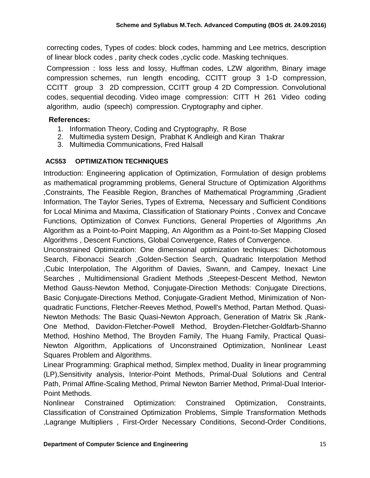correcting codes, Types of codes: block codes, hamming and Lee metrics, description of linear block codes , parity check codes ,cyclic code. Masking techniques.

Compression : loss less and lossy, Huffman codes, LZW algorithm, Binary image compression schemes, run length encoding, CCITT group 3 1-D compression, CCITT group 3 2D compression, CCITT group 4 2D Compression. Convolutional codes, sequential decoding. Video image compression: CITT H 261 Video coding algorithm, audio (speech) compression. Cryptography and cipher.

### **References:**

- 1. Information Theory, Coding and Cryptography, R Bose
- 2. Multimedia system Design, Prabhat K Andleigh and Kiran Thakrar
- 3. Multimedia Communications, Fred Halsall

### **AC553 OPTIMIZATION TECHNIQUES**

Introduction: Engineering application of Optimization, Formulation of design problems as mathematical programming problems, General Structure of Optimization Algorithms ,Constraints, The Feasible Region, Branches of Mathematical Programming ,Gradient Information, The Taylor Series, Types of Extrema, Necessary and Sufficient Conditions for Local Minima and Maxima, Classification of Stationary Points , Convex and Concave Functions, Optimization of Convex Functions, General Properties of Algorithms ,An Algorithm as a Point-to-Point Mapping, An Algorithm as a Point-to-Set Mapping Closed Algorithms , Descent Functions, Global Convergence, Rates of Convergence.

Unconstrained Optimization: One dimensional optimization techniques: Dichotomous Search, Fibonacci Search ,Golden-Section Search, Quadratic Interpolation Method ,Cubic Interpolation, The Algorithm of Davies, Swann, and Campey, Inexact Line Searches , Multidimensional Gradient Methods ,Steepest-Descent Method, Newton Method Gauss-Newton Method, Conjugate-Direction Methods: Conjugate Directions, Basic Conjugate-Directions Method, Conjugate-Gradient Method, Minimization of Nonquadratic Functions, Fletcher-Reeves Method, Powell's Method, Partan Method. Quasi-Newton Methods: The Basic Quasi-Newton Approach, Generation of Matrix Sk ,Rank-One Method, Davidon-Fletcher-Powell Method, Broyden-Fletcher-Goldfarb-Shanno Method, Hoshino Method, The Broyden Family, The Huang Family, Practical Quasi-Newton Algorithm, Applications of Unconstrained Optimization, Nonlinear Least Squares Problem and Algorithms.

Linear Programming: Graphical method, Simplex method, Duality in linear programming (LP),Sensitivity analysis, Interior-Point Methods, Primal-Dual Solutions and Central Path, Primal Affine-Scaling Method, Primal Newton Barrier Method, Primal-Dual Interior-Point Methods.

Nonlinear Constrained Optimization: Constrained Optimization, Constraints, Classification of Constrained Optimization Problems, Simple Transformation Methods ,Lagrange Multipliers , First-Order Necessary Conditions, Second-Order Conditions,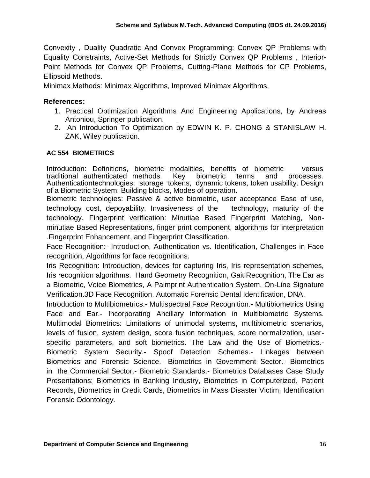Convexity , Duality Quadratic And Convex Programming: Convex QP Problems with Equality Constraints, Active-Set Methods for Strictly Convex QP Problems , Interior-Point Methods for Convex QP Problems, Cutting-Plane Methods for CP Problems, Ellipsoid Methods.

Minimax Methods: Minimax Algorithms, Improved Minimax Algorithms,

### **References:**

- 1. Practical Optimization Algorithms And Engineering Applications, by Andreas Antoniou, Springer publication.
- 2. An Introduction To Optimization by EDWIN K. P. CHONG & STANISLAW H. ZAK, Wiley publication.

### **AC 554 BIOMETRICS**

Introduction: Definitions, biometric modalities, benefits of biometric versus<br>traditional authenticated methods. Key biometric terms and processes. traditional authenticated methods. Key biometric terms and processes. Authenticationtechnologies: storage tokens, dynamic tokens, token usability. Design of a Biometric System: Building blocks, Modes of operation.

Biometric technologies: Passive & active biometric, user acceptance Ease of use, technology cost, depoyability, Invasiveness of the technology, maturity of the technology. Fingerprint verification: Minutiae Based Fingerprint Matching, Nonminutiae Based Representations, finger print component, algorithms for interpretation .Fingerprint Enhancement, and Fingerprint Classification.

Face Recognition:- Introduction, Authentication vs. Identification, Challenges in Face recognition, Algorithms for face recognitions.

Iris Recognition: Introduction, devices for capturing Iris, Iris representation schemes, Iris recognition algorithms. Hand Geometry Recognition, Gait Recognition, The Ear as a Biometric, Voice Biometrics, A Palmprint Authentication System. On-Line Signature Verification.3D Face Recognition. Automatic Forensic Dental Identification, DNA.

Introduction to Multibiometrics.- Multispectral Face Recognition.- Multibiometrics Using Face and Ear.- Incorporating Ancillary Information in Multibiometric Systems. Multimodal Biometrics: Limitations of unimodal systems, multibiometric scenarios, levels of fusion, system design, score fusion techniques, score normalization, userspecific parameters, and soft biometrics. The Law and the Use of Biometrics.- Biometric System Security.- Spoof Detection Schemes.- Linkages between Biometrics and Forensic Science.- Biometrics in Government Sector.- Biometrics in the Commercial Sector.- Biometric Standards.- Biometrics Databases Case Study Presentations: Biometrics in Banking Industry, Biometrics in Computerized, Patient Records, Biometrics in Credit Cards, Biometrics in Mass Disaster Victim, Identification Forensic Odontology.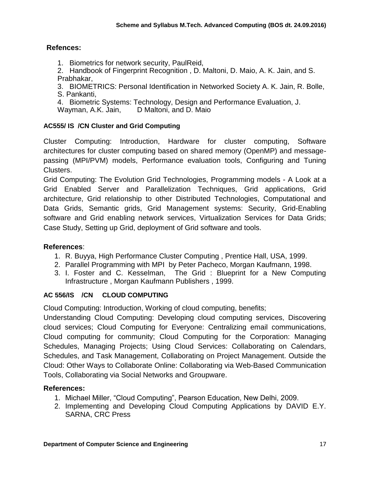### **Refences:**

1. Biometrics for network security, PaulReid,

2. Handbook of Fingerprint Recognition , D. Maltoni, D. Maio, A. K. Jain, and S. Prabhakar,

3. BIOMETRICS: Personal Identification in Networked Society A. K. Jain, R. Bolle, S. Pankanti,

4. Biometric Systems: Technology, Design and Performance Evaluation, J.

Wayman, A.K. Jain, D Maltoni, and D. Maio

### **AC555/ IS /CN Cluster and Grid Computing**

Cluster Computing: Introduction, Hardware for cluster computing, Software architectures for cluster computing based on shared memory (OpenMP) and messagepassing (MPI/PVM) models, Performance evaluation tools, Configuring and Tuning Clusters.

Grid Computing: The Evolution Grid Technologies, Programming models - A Look at a Grid Enabled Server and Parallelization Techniques, Grid applications, Grid architecture, Grid relationship to other Distributed Technologies, Computational and Data Grids, Semantic grids, Grid Management systems: Security, Grid-Enabling software and Grid enabling network services, Virtualization Services for Data Grids; Case Study, Setting up Grid, deployment of Grid software and tools.

### **References**:

- 1. R. Buyya, High Performance Cluster Computing , Prentice Hall, USA, 1999.
- 2. Parallel Programming with MPI by Peter Pacheco, Morgan Kaufmann, 1998.
- 3. I. Foster and C. Kesselman, The Grid : Blueprint for a New Computing Infrastructure , Morgan Kaufmann Publishers , 1999.

#### **AC 556/IS /CN CLOUD COMPUTING**

Cloud Computing: Introduction, Working of cloud computing, benefits;

Understanding Cloud Computing: Developing cloud computing services, Discovering cloud services; Cloud Computing for Everyone: Centralizing email communications, Cloud computing for community; Cloud Computing for the Corporation: Managing Schedules, Managing Projects; Using Cloud Services: Collaborating on Calendars, Schedules, and Task Management, Collaborating on Project Management. Outside the Cloud: Other Ways to Collaborate Online: Collaborating via Web-Based Communication Tools, Collaborating via Social Networks and Groupware.

- 1. Michael Miller, "Cloud Computing", Pearson Education, New Delhi, 2009.
- 2. Implementing and Developing Cloud Computing Applications by DAVID E.Y. SARNA, CRC Press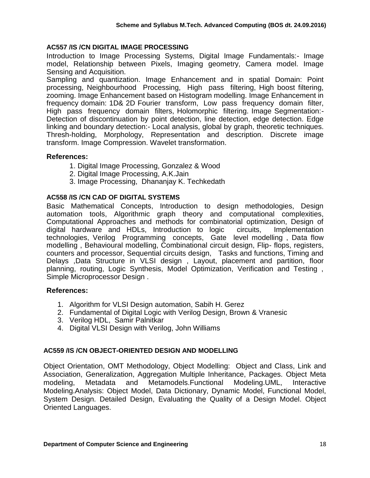#### **AC557 /IS /CN DIGITAL IMAGE PROCESSING**

Introduction to Image Processing Systems, Digital Image Fundamentals:- Image model, Relationship between Pixels, Imaging geometry, Camera model. Image Sensing and Acquisition.

Sampling and quantization. Image Enhancement and in spatial Domain: Point processing, Neighbourhood Processing, High pass filtering, High boost filtering, zooming. Image Enhancement based on Histogram modelling. Image Enhancement in frequency domain: 1D& 2D Fourier transform, Low pass frequency domain filter, High pass frequency domain filters, Holomorphic filtering. Image Segmentation:- Detection of discontinuation by point detection, line detection, edge detection. Edge linking and boundary detection:- Local analysis, global by graph, theoretic techniques. Thresh-holding, Morphology, Representation and description. Discrete image transform. Image Compression. Wavelet transformation.

#### **References:**

- 1. Digital Image Processing, Gonzalez & Wood
- 2. Digital Image Processing, A.K.Jain
- 3. Image Processing, Dhananjay K. Techkedath

#### **AC558 /IS /CN CAD OF DIGITAL SYSTEMS**

Basic Mathematical Concepts, Introduction to design methodologies, Design automation tools, Algorithmic graph theory and computational complexities, Computational Approaches and methods for combinatorial optimization, Design of digital hardware and HDLs, Introduction to logic circuits, Implementation technologies, Verilog Programming concepts, Gate level modelling , Data flow modelling , Behavioural modelling, Combinational circuit design, Flip- flops, registers, counters and processor, Sequential circuits design, Tasks and functions, Timing and Delays ,Data Structure in VLSI design , Layout, placement and partition, floor planning, routing, Logic Synthesis, Model Optimization, Verification and Testing , Simple Microprocessor Design .

#### **References:**

- 1. Algorithm for VLSI Design automation, Sabih H. Gerez
- 2. Fundamental of Digital Logic with Verilog Design, Brown & Vranesic
- 3. Verilog HDL, Samir Palnitkar
- 4. Digital VLSI Design with Verilog, John Williams

#### **AC559 /IS /CN OBJECT-ORIENTED DESIGN AND MODELLING**

Object Orientation, OMT Methodology, Object Modelling: Object and Class, Link and Association, Generalization, Aggregation Multiple Inheritance, Packages. Object Meta modeling, Metadata and Metamodels.Functional Modeling.UML, Interactive Modeling.Analysis: Object Model, Data Dictionary, Dynamic Model, Functional Model, System Design. Detailed Design, Evaluating the Quality of a Design Model. Object Oriented Languages.